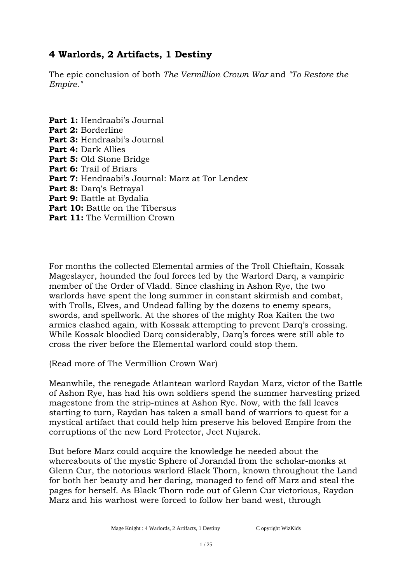The epic conclusion of both *The Vermillion Crown War* and *"To Restore the Empire."*

**Part 1:** Hendraabi's Journal **Part 2:** Borderline **Part 3:** Hendraabi's Journal **Part 4:** Dark Allies **Part 5:** Old Stone Bridge **Part 6:** Trail of Briars **Part 7:** Hendraabi's Journal: Marz at Tor Lendex **Part 8:** Darq's Betrayal **Part 9:** Battle at Bydalia **Part 10:** Battle on the Tibersus Part 11: The Vermillion Crown

For months the collected Elemental armies of the Troll Chieftain, Kossak Mageslayer, hounded the foul forces led by the Warlord Darq, a vampiric member of the Order of Vladd. Since clashing in Ashon Rye, the two warlords have spent the long summer in constant skirmish and combat, with Trolls, Elves, and Undead falling by the dozens to enemy spears, swords, and spellwork. At the shores of the mighty Roa Kaiten the two armies clashed again, with Kossak attempting to prevent Darq's crossing. While Kossak bloodied Darq considerably, Darq's forces were still able to cross the river before the Elemental warlord could stop them.

(Read more of The Vermillion Crown War)

Meanwhile, the renegade Atlantean warlord Raydan Marz, victor of the Battle of Ashon Rye, has had his own soldiers spend the summer harvesting prized magestone from the strip-mines at Ashon Rye. Now, with the fall leaves starting to turn, Raydan has taken a small band of warriors to quest for a mystical artifact that could help him preserve his beloved Empire from the corruptions of the new Lord Protector, Jeet Nujarek.

But before Marz could acquire the knowledge he needed about the whereabouts of the mystic Sphere of Jorandal from the scholar-monks at Glenn Cur, the notorious warlord Black Thorn, known throughout the Land for both her beauty and her daring, managed to fend off Marz and steal the pages for herself. As Black Thorn rode out of Glenn Cur victorious, Raydan Marz and his warhost were forced to follow her band west, through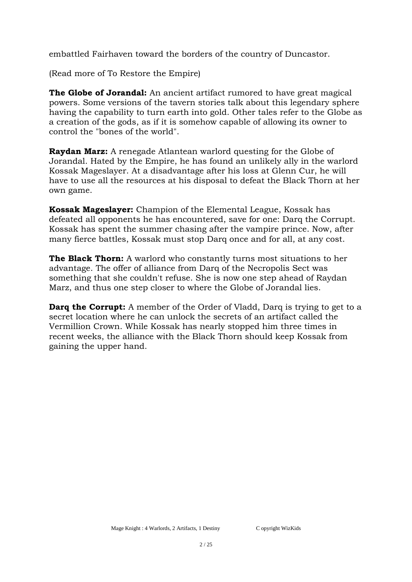embattled Fairhaven toward the borders of the country of Duncastor.

(Read more of To Restore the Empire)

**The Globe of Jorandal:** An ancient artifact rumored to have great magical powers. Some versions of the tavern stories talk about this legendary sphere having the capability to turn earth into gold. Other tales refer to the Globe as a creation of the gods, as if it is somehow capable of allowing its owner to control the "bones of the world".

**Raydan Marz:** A renegade Atlantean warlord questing for the Globe of Jorandal. Hated by the Empire, he has found an unlikely ally in the warlord Kossak Mageslayer. At a disadvantage after his loss at Glenn Cur, he will have to use all the resources at his disposal to defeat the Black Thorn at her own game.

**Kossak Mageslayer:** Champion of the Elemental League, Kossak has defeated all opponents he has encountered, save for one: Darq the Corrupt. Kossak has spent the summer chasing after the vampire prince. Now, after many fierce battles, Kossak must stop Darq once and for all, at any cost.

**The Black Thorn:** A warlord who constantly turns most situations to her advantage. The offer of alliance from Darq of the Necropolis Sect was something that she couldn't refuse. She is now one step ahead of Raydan Marz, and thus one step closer to where the Globe of Jorandal lies.

**Darq the Corrupt:** A member of the Order of Vladd, Darq is trying to get to a secret location where he can unlock the secrets of an artifact called the Vermillion Crown. While Kossak has nearly stopped him three times in recent weeks, the alliance with the Black Thorn should keep Kossak from gaining the upper hand.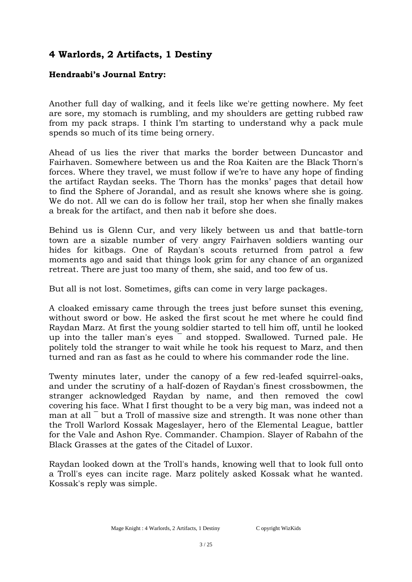#### **Hendraabi's Journal Entry:**

Another full day of walking, and it feels like we're getting nowhere. My feet are sore, my stomach is rumbling, and my shoulders are getting rubbed raw from my pack straps. I think I'm starting to understand why a pack mule spends so much of its time being ornery.

Ahead of us lies the river that marks the border between Duncastor and Fairhaven. Somewhere between us and the Roa Kaiten are the Black Thorn's forces. Where they travel, we must follow if we're to have any hope of finding the artifact Raydan seeks. The Thorn has the monks' pages that detail how to find the Sphere of Jorandal, and as result she knows where she is going. We do not. All we can do is follow her trail, stop her when she finally makes a break for the artifact, and then nab it before she does.

Behind us is Glenn Cur, and very likely between us and that battle-torn town are a sizable number of very angry Fairhaven soldiers wanting our hides for kitbags. One of Raydan's scouts returned from patrol a few moments ago and said that things look grim for any chance of an organized retreat. There are just too many of them, she said, and too few of us.

But all is not lost. Sometimes, gifts can come in very large packages.

A cloaked emissary came through the trees just before sunset this evening, without sword or bow. He asked the first scout he met where he could find Raydan Marz. At first the young soldier started to tell him off, until he looked up into the taller man's eves  $\overline{\phantom{a}}$  and stopped. Swallowed. Turned pale. He  $^-$  and stopped. Swallowed. Turned pale. He politely told the stranger to wait while he took his request to Marz, and then turned and ran as fast as he could to where his commander rode the line.

Twenty minutes later, under the canopy of a few red-leafed squirrel-oaks, and under the scrutiny of a half-dozen of Raydan's finest crossbowmen, the stranger acknowledged Raydan by name, and then removed the cowl covering his face. What I first thought to be a very big man, was indeed not a man at all  $^-$  but a Troll of massive size and strength. It was none other than the Troll Warlord Kossak Mageslayer, hero of the Elemental League, battler for the Vale and Ashon Rye. Commander. Champion. Slayer of Rabahn of the Black Grasses at the gates of the Citadel of Luxor.

Raydan looked down at the Troll's hands, knowing well that to look full onto a Troll's eyes can incite rage. Marz politely asked Kossak what he wanted. Kossak's reply was simple.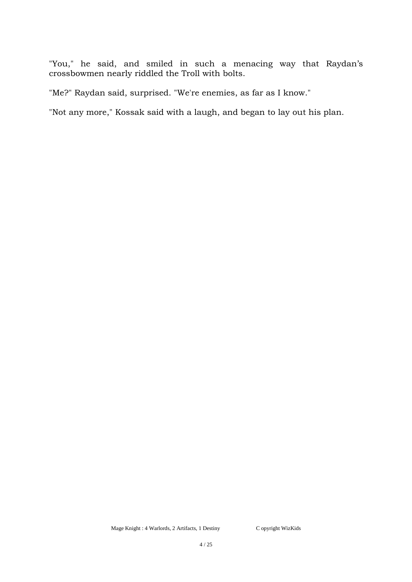"You," he said, and smiled in such a menacing way that Raydan's crossbowmen nearly riddled the Troll with bolts.

"Me?" Raydan said, surprised. "We're enemies, as far as I know."

"Not any more," Kossak said with a laugh, and began to lay out his plan.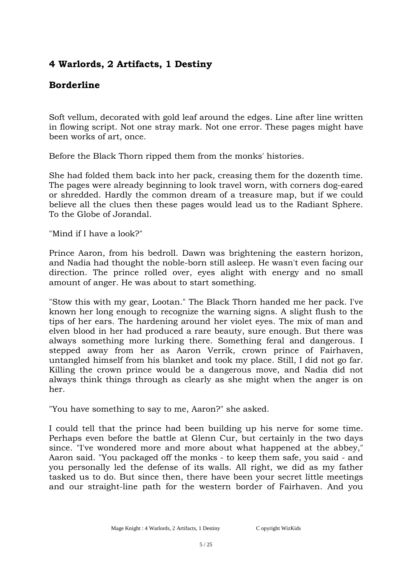# **Borderline**

Soft vellum, decorated with gold leaf around the edges. Line after line written in flowing script. Not one stray mark. Not one error. These pages might have been works of art, once.

Before the Black Thorn ripped them from the monks' histories.

She had folded them back into her pack, creasing them for the dozenth time. The pages were already beginning to look travel worn, with corners dog-eared or shredded. Hardly the common dream of a treasure map, but if we could believe all the clues then these pages would lead us to the Radiant Sphere. To the Globe of Jorandal.

"Mind if I have a look?"

Prince Aaron, from his bedroll. Dawn was brightening the eastern horizon, and Nadia had thought the noble-born still asleep. He wasn't even facing our direction. The prince rolled over, eyes alight with energy and no small amount of anger. He was about to start something.

"Stow this with my gear, Lootan." The Black Thorn handed me her pack. I've known her long enough to recognize the warning signs. A slight flush to the tips of her ears. The hardening around her violet eyes. The mix of man and elven blood in her had produced a rare beauty, sure enough. But there was always something more lurking there. Something feral and dangerous. I stepped away from her as Aaron Verrik, crown prince of Fairhaven, untangled himself from his blanket and took my place. Still, I did not go far. Killing the crown prince would be a dangerous move, and Nadia did not always think things through as clearly as she might when the anger is on her.

"You have something to say to me, Aaron?" she asked.

I could tell that the prince had been building up his nerve for some time. Perhaps even before the battle at Glenn Cur, but certainly in the two days since. "I've wondered more and more about what happened at the abbey," Aaron said. "You packaged off the monks - to keep them safe, you said - and you personally led the defense of its walls. All right, we did as my father tasked us to do. But since then, there have been your secret little meetings and our straight-line path for the western border of Fairhaven. And you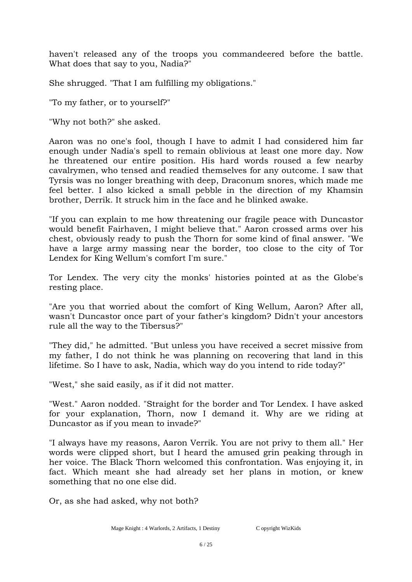haven't released any of the troops you commandeered before the battle. What does that say to you, Nadia?"

She shrugged. "That I am fulfilling my obligations."

"To my father, or to yourself?"

"Why not both?" she asked.

Aaron was no one's fool, though I have to admit I had considered him far enough under Nadia's spell to remain oblivious at least one more day. Now he threatened our entire position. His hard words roused a few nearby cavalrymen, who tensed and readied themselves for any outcome. I saw that Tyrsis was no longer breathing with deep, Draconum snores, which made me feel better. I also kicked a small pebble in the direction of my Khamsin brother, Derrik. It struck him in the face and he blinked awake.

"If you can explain to me how threatening our fragile peace with Duncastor would benefit Fairhaven, I might believe that." Aaron crossed arms over his chest, obviously ready to push the Thorn for some kind of final answer. "We have a large army massing near the border, too close to the city of Tor Lendex for King Wellum's comfort I'm sure."

Tor Lendex. The very city the monks' histories pointed at as the Globe's resting place.

"Are you that worried about the comfort of King Wellum, Aaron? After all, wasn't Duncastor once part of your father's kingdom? Didn't your ancestors rule all the way to the Tibersus?"

"They did," he admitted. "But unless you have received a secret missive from my father, I do not think he was planning on recovering that land in this lifetime. So I have to ask, Nadia, which way do you intend to ride today?"

"West," she said easily, as if it did not matter.

"West." Aaron nodded. "Straight for the border and Tor Lendex. I have asked for your explanation, Thorn, now I demand it. Why are we riding at Duncastor as if you mean to invade?"

"I always have my reasons, Aaron Verrik. You are not privy to them all." Her words were clipped short, but I heard the amused grin peaking through in her voice. The Black Thorn welcomed this confrontation. Was enjoying it, in fact. Which meant she had already set her plans in motion, or knew something that no one else did.

Or, as she had asked, why not both?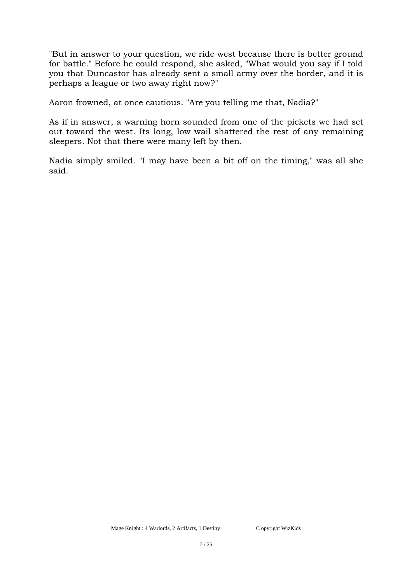"But in answer to your question, we ride west because there is better ground for battle." Before he could respond, she asked, "What would you say if I told you that Duncastor has already sent a small army over the border, and it is perhaps a league or two away right now?"

Aaron frowned, at once cautious. "Are you telling me that, Nadia?"

As if in answer, a warning horn sounded from one of the pickets we had set out toward the west. Its long, low wail shattered the rest of any remaining sleepers. Not that there were many left by then.

Nadia simply smiled. "I may have been a bit off on the timing," was all she said.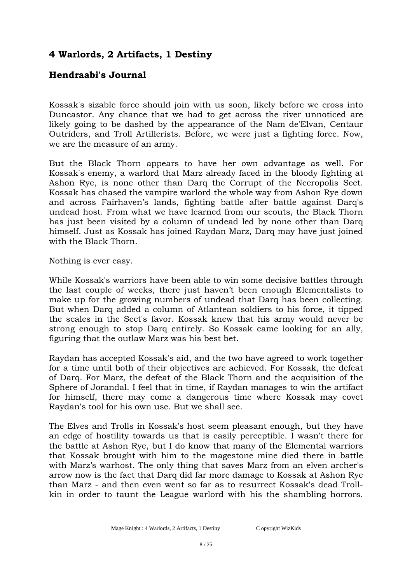#### **Hendraabi's Journal**

Kossak's sizable force should join with us soon, likely before we cross into Duncastor. Any chance that we had to get across the river unnoticed are likely going to be dashed by the appearance of the Nam de'Elvan, Centaur Outriders, and Troll Artillerists. Before, we were just a fighting force. Now, we are the measure of an army.

But the Black Thorn appears to have her own advantage as well. For Kossak's enemy, a warlord that Marz already faced in the bloody fighting at Ashon Rye, is none other than Darq the Corrupt of the Necropolis Sect. Kossak has chased the vampire warlord the whole way from Ashon Rye down and across Fairhaven's lands, fighting battle after battle against Darq's undead host. From what we have learned from our scouts, the Black Thorn has just been visited by a column of undead led by none other than Darq himself. Just as Kossak has joined Raydan Marz, Darq may have just joined with the Black Thorn.

Nothing is ever easy.

While Kossak's warriors have been able to win some decisive battles through the last couple of weeks, there just haven't been enough Elementalists to make up for the growing numbers of undead that Darq has been collecting. But when Darq added a column of Atlantean soldiers to his force, it tipped the scales in the Sect's favor. Kossak knew that his army would never be strong enough to stop Darq entirely. So Kossak came looking for an ally, figuring that the outlaw Marz was his best bet.

Raydan has accepted Kossak's aid, and the two have agreed to work together for a time until both of their objectives are achieved. For Kossak, the defeat of Darq. For Marz, the defeat of the Black Thorn and the acquisition of the Sphere of Jorandal. I feel that in time, if Raydan manages to win the artifact for himself, there may come a dangerous time where Kossak may covet Raydan's tool for his own use. But we shall see.

The Elves and Trolls in Kossak's host seem pleasant enough, but they have an edge of hostility towards us that is easily perceptible. I wasn't there for the battle at Ashon Rye, but I do know that many of the Elemental warriors that Kossak brought with him to the magestone mine died there in battle with Marz's warhost. The only thing that saves Marz from an elven archer's arrow now is the fact that Darq did far more damage to Kossak at Ashon Rye than Marz - and then even went so far as to resurrect Kossak's dead Trollkin in order to taunt the League warlord with his the shambling horrors.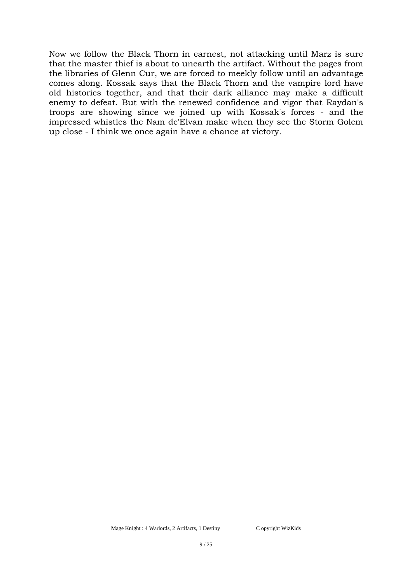Now we follow the Black Thorn in earnest, not attacking until Marz is sure that the master thief is about to unearth the artifact. Without the pages from the libraries of Glenn Cur, we are forced to meekly follow until an advantage comes along. Kossak says that the Black Thorn and the vampire lord have old histories together, and that their dark alliance may make a difficult enemy to defeat. But with the renewed confidence and vigor that Raydan's troops are showing since we joined up with Kossak's forces - and the impressed whistles the Nam de'Elvan make when they see the Storm Golem up close - I think we once again have a chance at victory.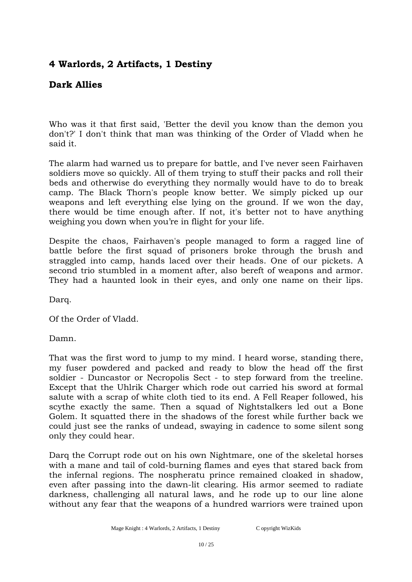# **Dark Allies**

Who was it that first said, 'Better the devil you know than the demon you don't?' I don't think that man was thinking of the Order of Vladd when he said it.

The alarm had warned us to prepare for battle, and I've never seen Fairhaven soldiers move so quickly. All of them trying to stuff their packs and roll their beds and otherwise do everything they normally would have to do to break camp. The Black Thorn's people know better. We simply picked up our weapons and left everything else lying on the ground. If we won the day, there would be time enough after. If not, it's better not to have anything weighing you down when you're in flight for your life.

Despite the chaos, Fairhaven's people managed to form a ragged line of battle before the first squad of prisoners broke through the brush and straggled into camp, hands laced over their heads. One of our pickets. A second trio stumbled in a moment after, also bereft of weapons and armor. They had a haunted look in their eyes, and only one name on their lips.

Darq.

Of the Order of Vladd.

Damn.

That was the first word to jump to my mind. I heard worse, standing there, my fuser powdered and packed and ready to blow the head off the first soldier - Duncastor or Necropolis Sect - to step forward from the treeline. Except that the Uhlrik Charger which rode out carried his sword at formal salute with a scrap of white cloth tied to its end. A Fell Reaper followed, his scythe exactly the same. Then a squad of Nightstalkers led out a Bone Golem. It squatted there in the shadows of the forest while further back we could just see the ranks of undead, swaying in cadence to some silent song only they could hear.

Darq the Corrupt rode out on his own Nightmare, one of the skeletal horses with a mane and tail of cold-burning flames and eyes that stared back from the infernal regions. The nospheratu prince remained cloaked in shadow, even after passing into the dawn-lit clearing. His armor seemed to radiate darkness, challenging all natural laws, and he rode up to our line alone without any fear that the weapons of a hundred warriors were trained upon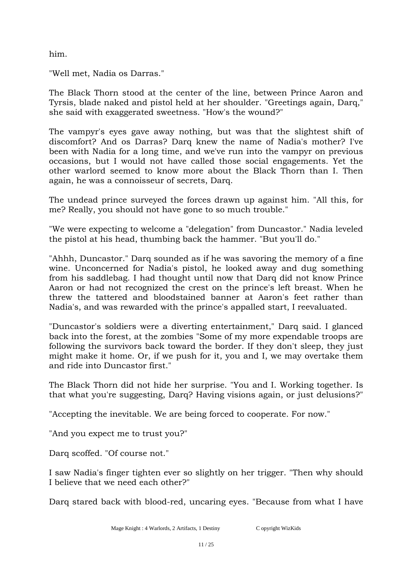him.

"Well met, Nadia os Darras."

The Black Thorn stood at the center of the line, between Prince Aaron and Tyrsis, blade naked and pistol held at her shoulder. "Greetings again, Darq," she said with exaggerated sweetness. "How's the wound?"

The vampyr's eyes gave away nothing, but was that the slightest shift of discomfort? And os Darras? Darq knew the name of Nadia's mother? I've been with Nadia for a long time, and we've run into the vampyr on previous occasions, but I would not have called those social engagements. Yet the other warlord seemed to know more about the Black Thorn than I. Then again, he was a connoisseur of secrets, Darq.

The undead prince surveyed the forces drawn up against him. "All this, for me? Really, you should not have gone to so much trouble."

"We were expecting to welcome a "delegation" from Duncastor." Nadia leveled the pistol at his head, thumbing back the hammer. "But you'll do."

"Ahhh, Duncastor." Darq sounded as if he was savoring the memory of a fine wine. Unconcerned for Nadia's pistol, he looked away and dug something from his saddlebag. I had thought until now that Darq did not know Prince Aaron or had not recognized the crest on the prince's left breast. When he threw the tattered and bloodstained banner at Aaron's feet rather than Nadia's, and was rewarded with the prince's appalled start, I reevaluated.

"Duncastor's soldiers were a diverting entertainment," Darq said. I glanced back into the forest, at the zombies "Some of my more expendable troops are following the survivors back toward the border. If they don't sleep, they just might make it home. Or, if we push for it, you and I, we may overtake them and ride into Duncastor first."

The Black Thorn did not hide her surprise. "You and I. Working together. Is that what you're suggesting, Darq? Having visions again, or just delusions?"

"Accepting the inevitable. We are being forced to cooperate. For now."

"And you expect me to trust you?"

Darq scoffed. "Of course not."

I saw Nadia's finger tighten ever so slightly on her trigger. "Then why should I believe that we need each other?"

Darq stared back with blood-red, uncaring eyes. "Because from what I have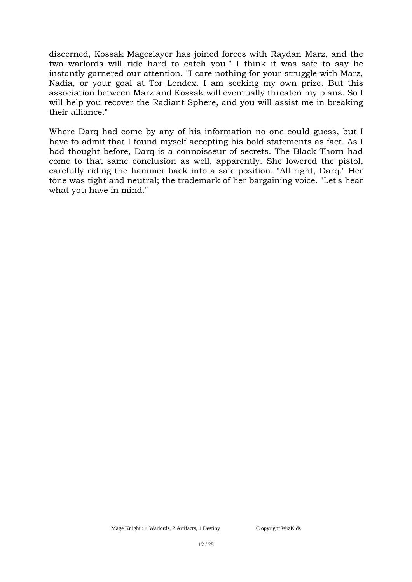discerned, Kossak Mageslayer has joined forces with Raydan Marz, and the two warlords will ride hard to catch you." I think it was safe to say he instantly garnered our attention. "I care nothing for your struggle with Marz, Nadia, or your goal at Tor Lendex. I am seeking my own prize. But this association between Marz and Kossak will eventually threaten my plans. So I will help you recover the Radiant Sphere, and you will assist me in breaking their alliance."

Where Darq had come by any of his information no one could guess, but I have to admit that I found myself accepting his bold statements as fact. As I had thought before, Darq is a connoisseur of secrets. The Black Thorn had come to that same conclusion as well, apparently. She lowered the pistol, carefully riding the hammer back into a safe position. "All right, Darq." Her tone was tight and neutral; the trademark of her bargaining voice. "Let's hear what you have in mind."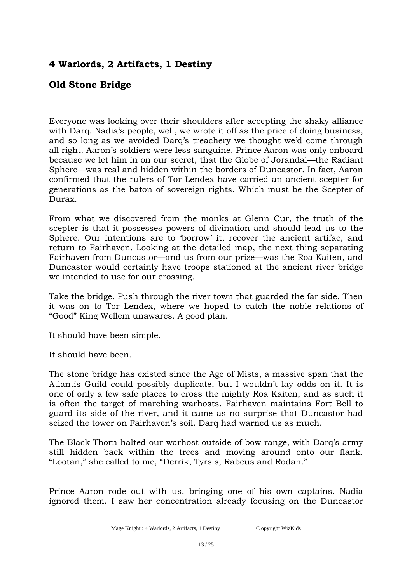# **Old Stone Bridge**

Everyone was looking over their shoulders after accepting the shaky alliance with Darq. Nadia's people, well, we wrote it off as the price of doing business, and so long as we avoided Darq's treachery we thought we'd come through all right. Aaron's soldiers were less sanguine. Prince Aaron was only onboard because we let him in on our secret, that the Globe of Jorandal—the Radiant Sphere—was real and hidden within the borders of Duncastor. In fact, Aaron confirmed that the rulers of Tor Lendex have carried an ancient scepter for generations as the baton of sovereign rights. Which must be the Scepter of Durax.

From what we discovered from the monks at Glenn Cur, the truth of the scepter is that it possesses powers of divination and should lead us to the Sphere. Our intentions are to 'borrow' it, recover the ancient artifac, and return to Fairhaven. Looking at the detailed map, the next thing separating Fairhaven from Duncastor—and us from our prize—was the Roa Kaiten, and Duncastor would certainly have troops stationed at the ancient river bridge we intended to use for our crossing.

Take the bridge. Push through the river town that guarded the far side. Then it was on to Tor Lendex, where we hoped to catch the noble relations of "Good" King Wellem unawares. A good plan.

It should have been simple.

It should have been.

The stone bridge has existed since the Age of Mists, a massive span that the Atlantis Guild could possibly duplicate, but I wouldn't lay odds on it. It is one of only a few safe places to cross the mighty Roa Kaiten, and as such it is often the target of marching warhosts. Fairhaven maintains Fort Bell to guard its side of the river, and it came as no surprise that Duncastor had seized the tower on Fairhaven's soil. Darq had warned us as much.

The Black Thorn halted our warhost outside of bow range, with Darq's army still hidden back within the trees and moving around onto our flank. "Lootan," she called to me, "Derrik, Tyrsis, Rabeus and Rodan."

Prince Aaron rode out with us, bringing one of his own captains. Nadia ignored them. I saw her concentration already focusing on the Duncastor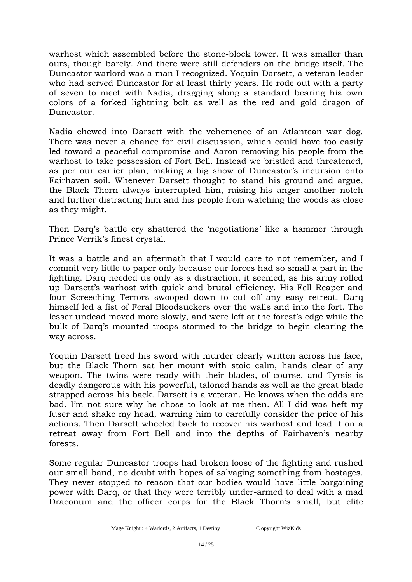warhost which assembled before the stone-block tower. It was smaller than ours, though barely. And there were still defenders on the bridge itself. The Duncastor warlord was a man I recognized. Yoquin Darsett, a veteran leader who had served Duncastor for at least thirty years. He rode out with a party of seven to meet with Nadia, dragging along a standard bearing his own colors of a forked lightning bolt as well as the red and gold dragon of Duncastor.

Nadia chewed into Darsett with the vehemence of an Atlantean war dog. There was never a chance for civil discussion, which could have too easily led toward a peaceful compromise and Aaron removing his people from the warhost to take possession of Fort Bell. Instead we bristled and threatened, as per our earlier plan, making a big show of Duncastor's incursion onto Fairhaven soil. Whenever Darsett thought to stand his ground and argue, the Black Thorn always interrupted him, raising his anger another notch and further distracting him and his people from watching the woods as close as they might.

Then Darq's battle cry shattered the 'negotiations' like a hammer through Prince Verrik's finest crystal.

It was a battle and an aftermath that I would care to not remember, and I commit very little to paper only because our forces had so small a part in the fighting. Darq needed us only as a distraction, it seemed, as his army rolled up Darsett's warhost with quick and brutal efficiency. His Fell Reaper and four Screeching Terrors swooped down to cut off any easy retreat. Darq himself led a fist of Feral Bloodsuckers over the walls and into the fort. The lesser undead moved more slowly, and were left at the forest's edge while the bulk of Darq's mounted troops stormed to the bridge to begin clearing the way across.

Yoquin Darsett freed his sword with murder clearly written across his face, but the Black Thorn sat her mount with stoic calm, hands clear of any weapon. The twins were ready with their blades, of course, and Tyrsis is deadly dangerous with his powerful, taloned hands as well as the great blade strapped across his back. Darsett is a veteran. He knows when the odds are bad. I'm not sure why he chose to look at me then. All I did was heft my fuser and shake my head, warning him to carefully consider the price of his actions. Then Darsett wheeled back to recover his warhost and lead it on a retreat away from Fort Bell and into the depths of Fairhaven's nearby forests.

Some regular Duncastor troops had broken loose of the fighting and rushed our small band, no doubt with hopes of salvaging something from hostages. They never stopped to reason that our bodies would have little bargaining power with Darq, or that they were terribly under-armed to deal with a mad Draconum and the officer corps for the Black Thorn's small, but elite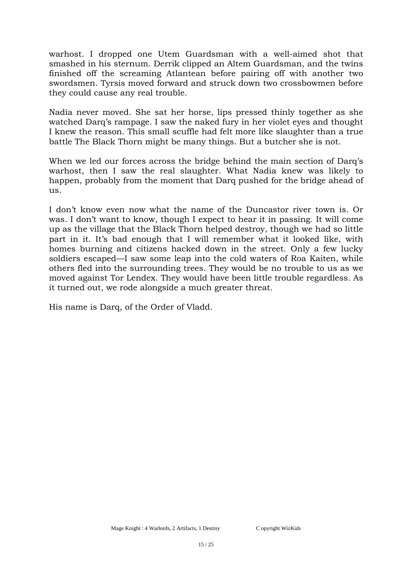warhost. I dropped one Utem Guardsman with a well-aimed shot that smashed in his sternum. Derrik clipped an Altem Guardsman, and the twins finished off the screaming Atlantean before pairing off with another two swordsmen. Tyrsis moved forward and struck down two crossbowmen before they could cause any real trouble.

Nadia never moved. She sat her horse, lips pressed thinly together as she watched Darq's rampage. I saw the naked fury in her violet eyes and thought I knew the reason. This small scuffle had felt more like slaughter than a true battle The Black Thorn might be many things. But a butcher she is not.

When we led our forces across the bridge behind the main section of Darq's warhost, then I saw the real slaughter. What Nadia knew was likely to happen, probably from the moment that Darq pushed for the bridge ahead of us.

I don't know even now what the name of the Duncastor river town is. Or was. I don't want to know, though I expect to hear it in passing. It will come up as the village that the Black Thorn helped destroy, though we had so little part in it. It's bad enough that I will remember what it looked like, with homes burning and citizens hacked down in the street. Only a few lucky soldiers escaped—I saw some leap into the cold waters of Roa Kaiten, while others fled into the surrounding trees. They would be no trouble to us as we moved against Tor Lendex. They would have been little trouble regardless. As it turned out, we rode alongside a much greater threat.

His name is Darq, of the Order of Vladd.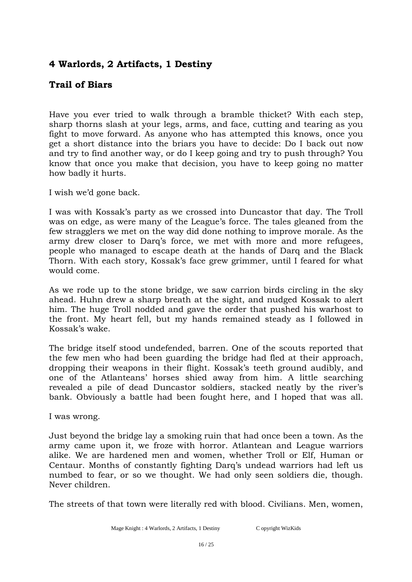# **Trail of Biars**

Have you ever tried to walk through a bramble thicket? With each step, sharp thorns slash at your legs, arms, and face, cutting and tearing as you fight to move forward. As anyone who has attempted this knows, once you get a short distance into the briars you have to decide: Do I back out now and try to find another way, or do I keep going and try to push through? You know that once you make that decision, you have to keep going no matter how badly it hurts.

I wish we'd gone back.

I was with Kossak's party as we crossed into Duncastor that day. The Troll was on edge, as were many of the League's force. The tales gleaned from the few stragglers we met on the way did done nothing to improve morale. As the army drew closer to Darq's force, we met with more and more refugees, people who managed to escape death at the hands of Darq and the Black Thorn. With each story, Kossak's face grew grimmer, until I feared for what would come.

As we rode up to the stone bridge, we saw carrion birds circling in the sky ahead. Huhn drew a sharp breath at the sight, and nudged Kossak to alert him. The huge Troll nodded and gave the order that pushed his warhost to the front. My heart fell, but my hands remained steady as I followed in Kossak's wake.

The bridge itself stood undefended, barren. One of the scouts reported that the few men who had been guarding the bridge had fled at their approach, dropping their weapons in their flight. Kossak's teeth ground audibly, and one of the Atlanteans' horses shied away from him. A little searching revealed a pile of dead Duncastor soldiers, stacked neatly by the river's bank. Obviously a battle had been fought here, and I hoped that was all.

I was wrong.

Just beyond the bridge lay a smoking ruin that had once been a town. As the army came upon it, we froze with horror. Atlantean and League warriors alike. We are hardened men and women, whether Troll or Elf, Human or Centaur. Months of constantly fighting Darq's undead warriors had left us numbed to fear, or so we thought. We had only seen soldiers die, though. Never children.

The streets of that town were literally red with blood. Civilians. Men, women,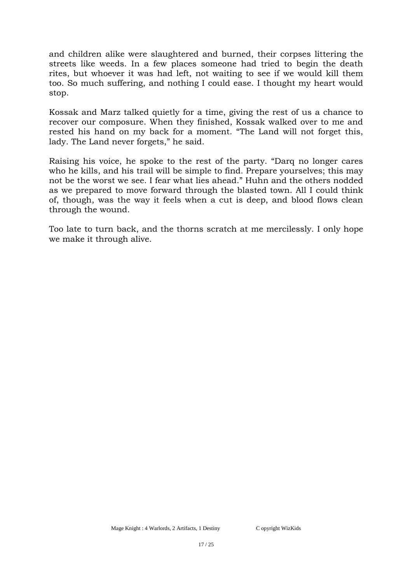and children alike were slaughtered and burned, their corpses littering the streets like weeds. In a few places someone had tried to begin the death rites, but whoever it was had left, not waiting to see if we would kill them too. So much suffering, and nothing I could ease. I thought my heart would stop.

Kossak and Marz talked quietly for a time, giving the rest of us a chance to recover our composure. When they finished, Kossak walked over to me and rested his hand on my back for a moment. "The Land will not forget this, lady. The Land never forgets," he said.

Raising his voice, he spoke to the rest of the party. "Darq no longer cares who he kills, and his trail will be simple to find. Prepare yourselves; this may not be the worst we see. I fear what lies ahead." Huhn and the others nodded as we prepared to move forward through the blasted town. All I could think of, though, was the way it feels when a cut is deep, and blood flows clean through the wound.

Too late to turn back, and the thorns scratch at me mercilessly. I only hope we make it through alive.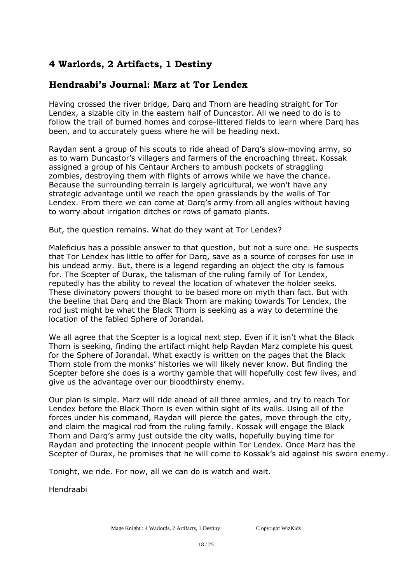# **Hendraabi's Journal: Marz at Tor Lendex**

**rollow** the Having crossed the river bridge, Darq and Thorn are heading straight for Tor Lendex, a sizable city in the eastern half of Duncastor. All we need to do is to  $\sim$ follow the trail of burned homes and corpse-littered fields to learn where Darq has been, and to accurately guess where he will be heading next.

Raydan sent a group of his scouts to ride ahead of Darq's slow-moving army, so as to warn Duncastor's villagers and farmers of the encroaching threat. Kossak assigned a group of his Centaur Archers to ambush pockets of straggling zombies, destroying them with flights of arrows while we have the chance. strategic advantage until we reach the open grasslands by the walls of Tor source of corpses for use in the corpses for the corpses for a legend regarding and  $\alpha$  legion regarding and  $\alpha$ Lendex. From there we can come at Darq's army from all angles without having to worry about irrigation ditches or rows of gamato plants. Because the surrounding terrain is largely agricultural, we won't have any

But, the question remains. What up they want at for Lendex: But the question remains. What do they want at Tor Lendex? But, the question remains. What do they want at Tor Lendex?

Maleficius has a possible answer to that question, but not a sure one. He suspects materies has a possible answer to that question, but not a sare one. He suspects<br>that Tor Londov has little to offer for Darg, saye as a source of cornses for use in his undead army. But, there is a legend regarding an object the city is famous  $\overline{r}$ for. The Scepter of Durax, the talisman of the ruling family of Tor Lendex, reputedly has the ability to reveal the location of whatever the holder seeks.  $\frac{1}{2}$ These divinatory powers thought to be based more on myth than fact. But with rod just might be what the Black Thorn is seeking as a way to determine the location of the fabled Sphere of Jorandal. that Tor Lendex has little to offer for Darq, save as a source of corpses for use in<br>his under derived be what there is a lengt describe are abject the situic foresee the beeline that Darq and the Black Thorn are making towards Tor Lendex, the

We all agree that the Scepter is a logical next step. Even if it isn't what the Black Thorn is seeking, finding the artifact might help Raydan Marz complete his quest for the Sphere of Jorandal. What exactly is written on the pages that the Black Thorn stole from the monks' histories we will likely never know. But finding the give us the advantage over our bloodthirsty enemy. Scepter before she does is a worthy gamble that will hopefully cost few lives, and

Our plan is simple. Marz will ride ahead of all three armies, and try to reach Tor Lendex before the Black Thorn is even within sight of its walls. Using all of the forces under his command, Raydan will pierce the gates, move through the city, and claim the magical rod from the ruling family. Kossak will engage the Black Thorn and Darq's army just outside the city walls, hopefully buying time for Raydan and protecting the innocent people within Tor Lendex. Once Marz has the Scepter of Durax, he promises that he will come to Kossak's aid against his sworn enemy.

Tonight, we ride. For now, all we can do is watch and wait.

Hendraabi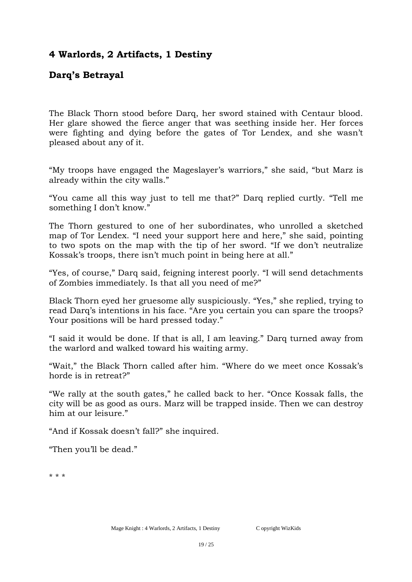# **Darq's Betrayal**

The Black Thorn stood before Darq, her sword stained with Centaur blood. Her glare showed the fierce anger that was seething inside her. Her forces were fighting and dying before the gates of Tor Lendex, and she wasn't pleased about any of it.

"My troops have engaged the Mageslayer's warriors," she said, "but Marz is already within the city walls."

"You came all this way just to tell me that?" Darq replied curtly. "Tell me something I don't know."

The Thorn gestured to one of her subordinates, who unrolled a sketched map of Tor Lendex. "I need your support here and here," she said, pointing to two spots on the map with the tip of her sword. "If we don't neutralize Kossak's troops, there isn't much point in being here at all."

"Yes, of course," Darq said, feigning interest poorly. "I will send detachments of Zombies immediately. Is that all you need of me?"

Black Thorn eyed her gruesome ally suspiciously. "Yes," she replied, trying to read Darq's intentions in his face. "Are you certain you can spare the troops? Your positions will be hard pressed today."

"I said it would be done. If that is all, I am leaving." Darq turned away from the warlord and walked toward his waiting army.

"Wait," the Black Thorn called after him. "Where do we meet once Kossak's horde is in retreat?"

"We rally at the south gates," he called back to her. "Once Kossak falls, the city will be as good as ours. Marz will be trapped inside. Then we can destroy him at our leisure."

"And if Kossak doesn't fall?" she inquired.

"Then you'll be dead."

\* \* \*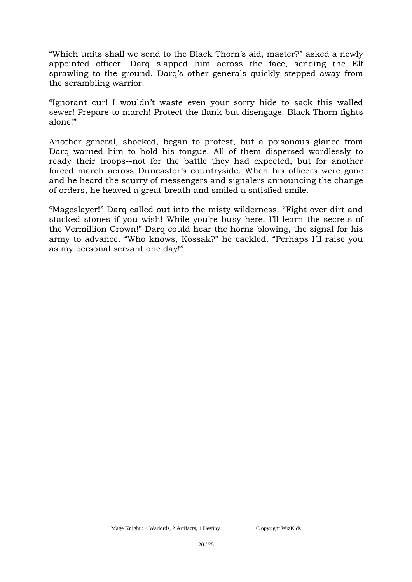"Which units shall we send to the Black Thorn's aid, master?" asked a newly appointed officer. Darq slapped him across the face, sending the Elf sprawling to the ground. Darq's other generals quickly stepped away from the scrambling warrior.

"Ignorant cur! I wouldn't waste even your sorry hide to sack this walled sewer! Prepare to march! Protect the flank but disengage. Black Thorn fights alone!"

Another general, shocked, began to protest, but a poisonous glance from Darq warned him to hold his tongue. All of them dispersed wordlessly to ready their troops--not for the battle they had expected, but for another forced march across Duncastor's countryside. When his officers were gone and he heard the scurry of messengers and signalers announcing the change of orders, he heaved a great breath and smiled a satisfied smile.

"Mageslayer!" Darq called out into the misty wilderness. "Fight over dirt and stacked stones if you wish! While you're busy here, I'll learn the secrets of the Vermillion Crown!" Darq could hear the horns blowing, the signal for his army to advance. "Who knows, Kossak?" he cackled. "Perhaps I'll raise you as my personal servant one day!"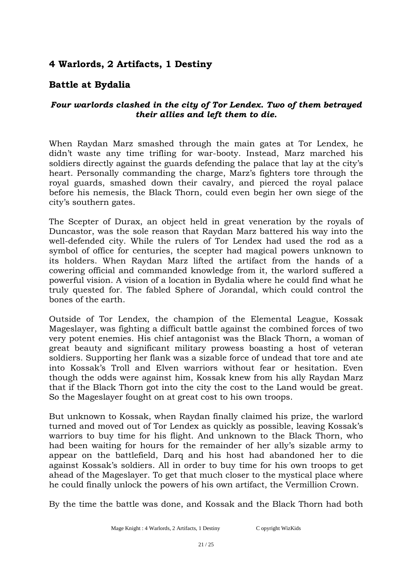#### **Battle at Bydalia**

#### *Four warlords clashed in the city of Tor Lendex. Two of them betrayed their allies and left them to die.*

When Raydan Marz smashed through the main gates at Tor Lendex, he didn't waste any time trifling for war-booty. Instead, Marz marched his soldiers directly against the guards defending the palace that lay at the city's heart. Personally commanding the charge, Marz's fighters tore through the royal guards, smashed down their cavalry, and pierced the royal palace before his nemesis, the Black Thorn, could even begin her own siege of the city's southern gates.

The Scepter of Durax, an object held in great veneration by the royals of Duncastor, was the sole reason that Raydan Marz battered his way into the well-defended city. While the rulers of Tor Lendex had used the rod as a symbol of office for centuries, the scepter had magical powers unknown to its holders. When Raydan Marz lifted the artifact from the hands of a cowering official and commanded knowledge from it, the warlord suffered a powerful vision. A vision of a location in Bydalia where he could find what he truly quested for. The fabled Sphere of Jorandal, which could control the bones of the earth.

Outside of Tor Lendex, the champion of the Elemental League, Kossak Mageslayer, was fighting a difficult battle against the combined forces of two very potent enemies. His chief antagonist was the Black Thorn, a woman of great beauty and significant military prowess boasting a host of veteran soldiers. Supporting her flank was a sizable force of undead that tore and ate into Kossak's Troll and Elven warriors without fear or hesitation. Even though the odds were against him, Kossak knew from his ally Raydan Marz that if the Black Thorn got into the city the cost to the Land would be great. So the Mageslayer fought on at great cost to his own troops.

But unknown to Kossak, when Raydan finally claimed his prize, the warlord turned and moved out of Tor Lendex as quickly as possible, leaving Kossak's warriors to buy time for his flight. And unknown to the Black Thorn, who had been waiting for hours for the remainder of her ally's sizable army to appear on the battlefield, Darq and his host had abandoned her to die against Kossak's soldiers. All in order to buy time for his own troops to get ahead of the Mageslayer. To get that much closer to the mystical place where he could finally unlock the powers of his own artifact, the Vermillion Crown.

By the time the battle was done, and Kossak and the Black Thorn had both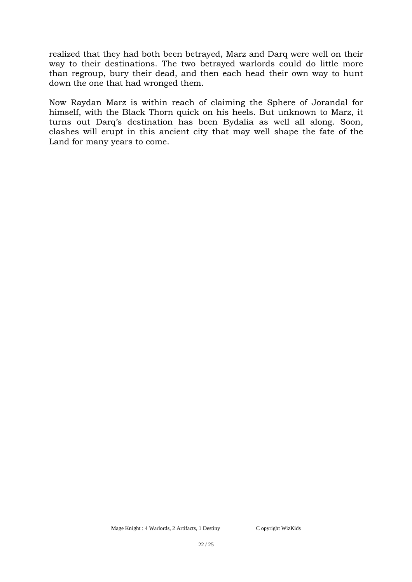realized that they had both been betrayed, Marz and Darq were well on their way to their destinations. The two betrayed warlords could do little more than regroup, bury their dead, and then each head their own way to hunt down the one that had wronged them.

Now Raydan Marz is within reach of claiming the Sphere of Jorandal for himself, with the Black Thorn quick on his heels. But unknown to Marz, it turns out Darq's destination has been Bydalia as well all along. Soon, clashes will erupt in this ancient city that may well shape the fate of the Land for many years to come.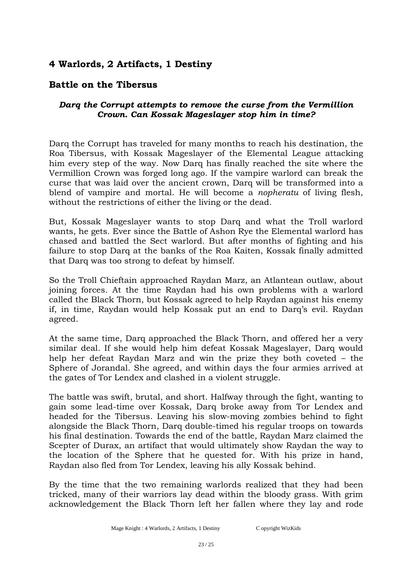#### **Battle on the Tibersus**

#### *Darq the Corrupt attempts to remove the curse from the Vermillion Crown. Can Kossak Mageslayer stop him in time?*

Darq the Corrupt has traveled for many months to reach his destination, the Roa Tibersus, with Kossak Mageslayer of the Elemental League attacking him every step of the way. Now Darq has finally reached the site where the Vermillion Crown was forged long ago. If the vampire warlord can break the curse that was laid over the ancient crown, Darq will be transformed into a blend of vampire and mortal. He will become a *nopheratu* of living flesh, without the restrictions of either the living or the dead.

But, Kossak Mageslayer wants to stop Darq and what the Troll warlord wants, he gets. Ever since the Battle of Ashon Rye the Elemental warlord has chased and battled the Sect warlord. But after months of fighting and his failure to stop Darq at the banks of the Roa Kaiten, Kossak finally admitted that Darq was too strong to defeat by himself.

So the Troll Chieftain approached Raydan Marz, an Atlantean outlaw, about joining forces. At the time Raydan had his own problems with a warlord called the Black Thorn, but Kossak agreed to help Raydan against his enemy if, in time, Raydan would help Kossak put an end to Darq's evil. Raydan agreed.

At the same time, Darq approached the Black Thorn, and offered her a very similar deal. If she would help him defeat Kossak Mageslayer, Darq would help her defeat Raydan Marz and win the prize they both coveted – the Sphere of Jorandal. She agreed, and within days the four armies arrived at the gates of Tor Lendex and clashed in a violent struggle.

The battle was swift, brutal, and short. Halfway through the fight, wanting to gain some lead-time over Kossak, Darq broke away from Tor Lendex and headed for the Tibersus. Leaving his slow-moving zombies behind to fight alongside the Black Thorn, Darq double-timed his regular troops on towards his final destination. Towards the end of the battle, Raydan Marz claimed the Scepter of Durax, an artifact that would ultimately show Raydan the way to the location of the Sphere that he quested for. With his prize in hand, Raydan also fled from Tor Lendex, leaving his ally Kossak behind.

By the time that the two remaining warlords realized that they had been tricked, many of their warriors lay dead within the bloody grass. With grim acknowledgement the Black Thorn left her fallen where they lay and rode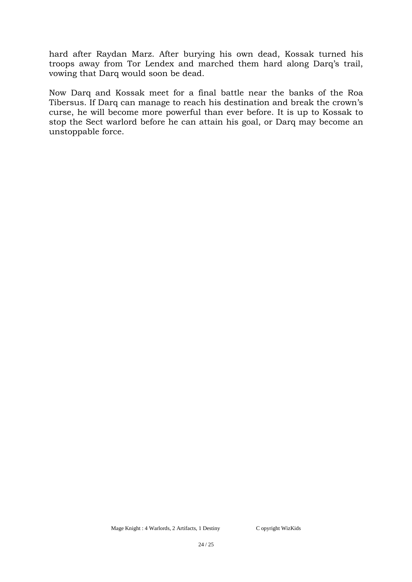hard after Raydan Marz. After burying his own dead, Kossak turned his troops away from Tor Lendex and marched them hard along Darq's trail, vowing that Darq would soon be dead.

Now Darq and Kossak meet for a final battle near the banks of the Roa Tibersus. If Darq can manage to reach his destination and break the crown's curse, he will become more powerful than ever before. It is up to Kossak to stop the Sect warlord before he can attain his goal, or Darq may become an unstoppable force.